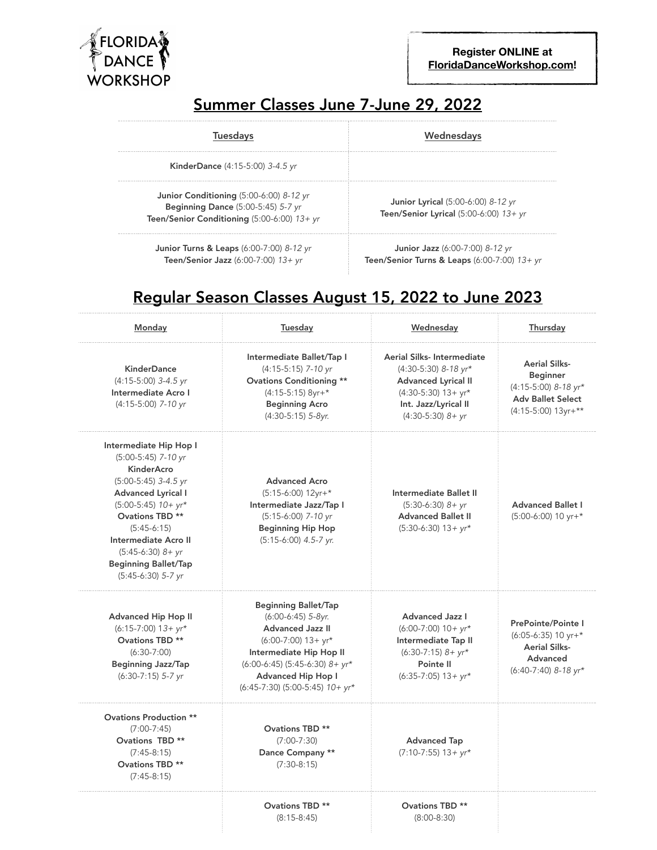

## Summer Classes June 7-June 29, 2022

| Tuesdavs                                                                                                                                | Wednesdavs                                                                               |
|-----------------------------------------------------------------------------------------------------------------------------------------|------------------------------------------------------------------------------------------|
| <b>KinderDance</b> (4:15-5:00) 3-4.5 yr                                                                                                 |                                                                                          |
| Junior Conditioning $(5:00-6:00)$ 8-12 yr<br><b>Beginning Dance</b> (5:00-5:45) 5-7 yr<br>Teen/Senior Conditioning $(5:00-6:00)$ 13+ yr | <b>Junior Lyrical</b> (5:00-6:00) 8-12 yr<br>Teen/Senior Lyrical $(5:00-6:00)$ 13+ yr    |
| <b>Junior Turns &amp; Leaps (6:00-7:00) 8-12 yr</b><br>Teen/Senior Jazz $(6:00-7:00)$ 13+ yr                                            | <b>Junior Jazz</b> (6:00-7:00) 8-12 yr<br>Teen/Senior Turns & Leaps $(6:00-7:00)$ 13+ yr |

## Regular Season Classes August 15, 2022 to June 2023

| Monday                                                                                                                                                                                                                                                                                   | Tuesday                                                                                                                                                                                                                                  | Wednesday                                                                                                                                                  | Thursday                                                                                                           |
|------------------------------------------------------------------------------------------------------------------------------------------------------------------------------------------------------------------------------------------------------------------------------------------|------------------------------------------------------------------------------------------------------------------------------------------------------------------------------------------------------------------------------------------|------------------------------------------------------------------------------------------------------------------------------------------------------------|--------------------------------------------------------------------------------------------------------------------|
| <b>KinderDance</b><br>$(4:15-5:00)$ 3-4.5 yr<br>Intermediate Acro I<br>(4:15-5:00) 7-10 yr                                                                                                                                                                                               | Intermediate Ballet/Tap I<br>(4:15-5:15) 7-10 yr<br><b>Ovations Conditioning **</b><br>$(4:15-5:15)$ 8yr+*<br><b>Beginning Acro</b><br>$(4:30-5:15)$ 5-8yr.                                                                              | Aerial Silks-Intermediate<br>$(4:30-5:30)$ 8-18 yr*<br><b>Advanced Lyrical II</b><br>$(4:30-5:30)$ 13+ yr*<br>Int. Jazz/Lyrical II<br>$(4:30-5:30)$ $8+yr$ | <b>Aerial Silks-</b><br><b>Beginner</b><br>(4:15-5:00) 8-18 yr*<br><b>Adv Ballet Select</b><br>(4:15-5:00) 13yr+** |
| Intermediate Hip Hop I<br>$(5:00-5:45)$ 7-10 yr<br>KinderAcro<br>$(5:00-5:45)$ 3-4.5 yr<br><b>Advanced Lyrical I</b><br>$(5:00-5:45)$ 10+ yr*<br>Ovations TBD **<br>$(5:45-6:15)$<br>Intermediate Acro II<br>$(5:45-6:30)$ $8+yr$<br><b>Beginning Ballet/Tap</b><br>$(5:45-6:30)$ 5-7 yr | <b>Advanced Acro</b><br>$(5:15-6:00)$ 12yr+*<br>Intermediate Jazz/Tap I<br>(5:15-6:00) 7-10 yr<br><b>Beginning Hip Hop</b><br>$(5:15-6:00)$ 4.5-7 yr.                                                                                    | Intermediate Ballet II<br>$(5:30-6:30)$ $8+vr$<br><b>Advanced Ballet II</b><br>$(5:30-6:30)$ 13 + yr*                                                      | <b>Advanced Ballet I</b><br>$(5:00-6:00)$ 10 yr+*                                                                  |
| Advanced Hip Hop II<br>$(6:15-7:00)$ 13+ $yr*$<br>Ovations TBD **<br>$(6:30-7:00)$<br><b>Beginning Jazz/Tap</b><br>$(6:30-7:15)$ 5-7 yr                                                                                                                                                  | <b>Beginning Ballet/Tap</b><br>(6:00-6:45) 5-8yr.<br><b>Advanced Jazz II</b><br>$(6:00-7:00)$ 13+ yr*<br>Intermediate Hip Hop II<br>$(6:00-6:45)$ (5:45-6:30) $8+yr*$<br><b>Advanced Hip Hop I</b><br>$(6:45-7:30)$ (5:00-5:45) $10+yr*$ | <b>Advanced Jazz I</b><br>$(6:00-7:00)$ 10 + yr*<br>Intermediate Tap II<br>$(6:30-7:15)$ $8+yr*$<br>Pointe II<br>$(6:35-7:05)$ 13 + yr*                    | PrePointe/Pointe I<br>$(6:05-6:35)$ 10 yr+*<br><b>Aerial Silks-</b><br>Advanced<br>(6:40-7:40) 8-18 yr*            |
| <b>Ovations Production **</b><br>$(7:00-7:45)$<br>Ovations TBD **<br>$(7:45-8:15)$<br>Ovations TBD **<br>$(7:45-8:15)$                                                                                                                                                                   | Ovations TBD **<br>$(7:00-7:30)$<br>Dance Company **<br>$(7:30-8:15)$                                                                                                                                                                    | <b>Advanced Tap</b><br>$(7:10-7:55)$ 13+ $yr*$                                                                                                             |                                                                                                                    |
|                                                                                                                                                                                                                                                                                          | Ovations TBD **<br>$(8:15-8:45)$                                                                                                                                                                                                         | <b>Ovations TBD **</b><br>$(8:00-8:30)$                                                                                                                    |                                                                                                                    |